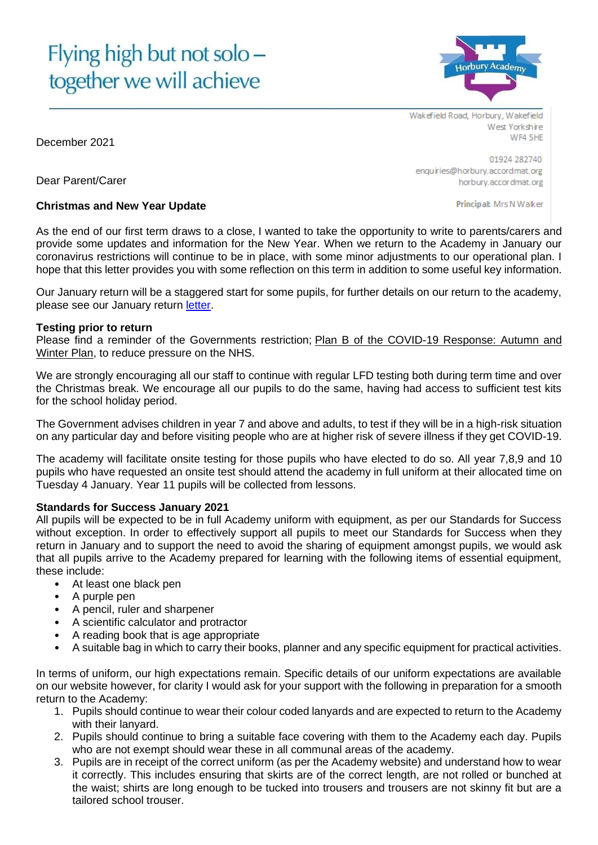# Flying high but not solo together we will achieve



Wakefield Road, Horbury, Wakefield West Yorkshire WF4 5HE

01924 282740 enquiries@horbury.accordmat.org horbury.accordmat.org

Principal: Mrs N Walker

Dear Parent/Carer

## **Christmas and New Year Update**

As the end of our first term draws to a close, I wanted to take the opportunity to write to parents/carers and provide some updates and information for the New Year. When we return to the Academy in January our coronavirus restrictions will continue to be in place, with some minor adjustments to our operational plan. I hope that this letter provides you with some reflection on this term in addition to some useful key information.

Our January return will be a staggered start for some pupils, for further details on our return to the academy, please see our January return [letter.](https://horbury.accordmat.org/wp-content/uploads/sites/3/2021/12/January-2022-Return-Letter-to-Parents.pdf)

## **Testing prior to return**

Please find a reminder of the Governments restriction; [Plan B of the COVID-19 Response: Autumn and](https://www.gov.uk/government/publications/covid-19-response-autumn-and-winter-plan-2021?utm_source=7%20December%202021%20C19&utm_medium=Daily%20Email%20C19&utm_campaign=DfE%20C19)  [Winter](https://www.gov.uk/government/publications/covid-19-response-autumn-and-winter-plan-2021?utm_source=7%20December%202021%20C19&utm_medium=Daily%20Email%20C19&utm_campaign=DfE%20C19) Plan, to reduce pressure on the NHS.

We are strongly encouraging all our staff to continue with regular LFD testing both during term time and over the Christmas break. We encourage all our pupils to do the same, having had access to sufficient test kits for the school holiday period.

The Government advises children in year 7 and above and adults, to test if they will be in a high-risk situation on any particular day and before visiting people who are at higher risk of severe illness if they get COVID-19.

The academy will facilitate onsite testing for those pupils who have elected to do so. All year 7,8,9 and 10 pupils who have requested an onsite test should attend the academy in full uniform at their allocated time on Tuesday 4 January. Year 11 pupils will be collected from lessons.

## **Standards for Success January 2021**

All pupils will be expected to be in full Academy uniform with equipment, as per our Standards for Success without exception. In order to effectively support all pupils to meet our Standards for Success when they return in January and to support the need to avoid the sharing of equipment amongst pupils, we would ask that all pupils arrive to the Academy prepared for learning with the following items of essential equipment, these include:

- At least one black pen
- A purple pen
- A pencil, ruler and sharpener
- A scientific calculator and protractor
- A reading book that is age appropriate
- A suitable bag in which to carry their books, planner and any specific equipment for practical activities.

In terms of uniform, our high expectations remain. Specific details of our uniform expectations are available on our website however, for clarity I would ask for your support with the following in preparation for a smooth return to the Academy:

- 1. Pupils should continue to wear their colour coded lanyards and are expected to return to the Academy with their lanyard.
- 2. Pupils should continue to bring a suitable face covering with them to the Academy each day. Pupils who are not exempt should wear these in all communal areas of the academy.
- 3. Pupils are in receipt of the correct uniform (as per the Academy website) and understand how to wear it correctly. This includes ensuring that skirts are of the correct length, are not rolled or bunched at the waist; shirts are long enough to be tucked into trousers and trousers are not skinny fit but are a tailored school trouser.

December 2021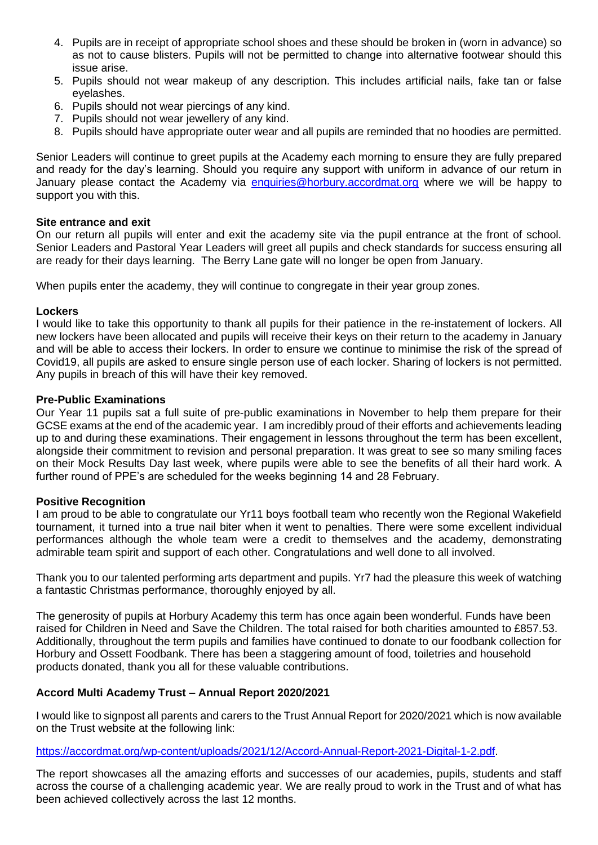- 4. Pupils are in receipt of appropriate school shoes and these should be broken in (worn in advance) so as not to cause blisters. Pupils will not be permitted to change into alternative footwear should this issue arise.
- 5. Pupils should not wear makeup of any description. This includes artificial nails, fake tan or false eyelashes.
- 6. Pupils should not wear piercings of any kind.
- 7. Pupils should not wear jewellery of any kind.
- 8. Pupils should have appropriate outer wear and all pupils are reminded that no hoodies are permitted.

Senior Leaders will continue to greet pupils at the Academy each morning to ensure they are fully prepared and ready for the day's learning. Should you require any support with uniform in advance of our return in January please contact the Academy via [enquiries@horbury.accordmat.org](mailto:enquiries@horbury.accordmat.org) where we will be happy to support you with this.

#### **Site entrance and exit**

On our return all pupils will enter and exit the academy site via the pupil entrance at the front of school. Senior Leaders and Pastoral Year Leaders will greet all pupils and check standards for success ensuring all are ready for their days learning. The Berry Lane gate will no longer be open from January.

When pupils enter the academy, they will continue to congregate in their year group zones.

#### **Lockers**

I would like to take this opportunity to thank all pupils for their patience in the re-instatement of lockers. All new lockers have been allocated and pupils will receive their keys on their return to the academy in January and will be able to access their lockers. In order to ensure we continue to minimise the risk of the spread of Covid19, all pupils are asked to ensure single person use of each locker. Sharing of lockers is not permitted. Any pupils in breach of this will have their key removed.

#### **Pre-Public Examinations**

Our Year 11 pupils sat a full suite of pre-public examinations in November to help them prepare for their GCSE exams at the end of the academic year. I am incredibly proud of their efforts and achievements leading up to and during these examinations. Their engagement in lessons throughout the term has been excellent, alongside their commitment to revision and personal preparation. It was great to see so many smiling faces on their Mock Results Day last week, where pupils were able to see the benefits of all their hard work. A further round of PPE's are scheduled for the weeks beginning 14 and 28 February.

## **Positive Recognition**

I am proud to be able to congratulate our Yr11 boys football team who recently won the Regional Wakefield tournament, it turned into a true nail biter when it went to penalties. There were some excellent individual performances although the whole team were a credit to themselves and the academy, demonstrating admirable team spirit and support of each other. Congratulations and well done to all involved.

Thank you to our talented performing arts department and pupils. Yr7 had the pleasure this week of watching a fantastic Christmas performance, thoroughly enjoyed by all.

The generosity of pupils at Horbury Academy this term has once again been wonderful. Funds have been raised for Children in Need and Save the Children. The total raised for both charities amounted to £857.53. Additionally, throughout the term pupils and families have continued to donate to our foodbank collection for Horbury and Ossett Foodbank. There has been a staggering amount of food, toiletries and household products donated, thank you all for these valuable contributions.

## **Accord Multi Academy Trust – Annual Report 2020/2021**

I would like to signpost all parents and carers to the Trust Annual Report for 2020/2021 which is now available on the Trust website at the following link:

[https://accordmat.org/wp-content/uploads/2021/12/Accord-Annual-Report-2021-Digital-1-2.pdf.](https://accordmat.org/wp-content/uploads/2021/12/Accord-Annual-Report-2021-Digital-1-2.pdf)

The report showcases all the amazing efforts and successes of our academies, pupils, students and staff across the course of a challenging academic year. We are really proud to work in the Trust and of what has been achieved collectively across the last 12 months.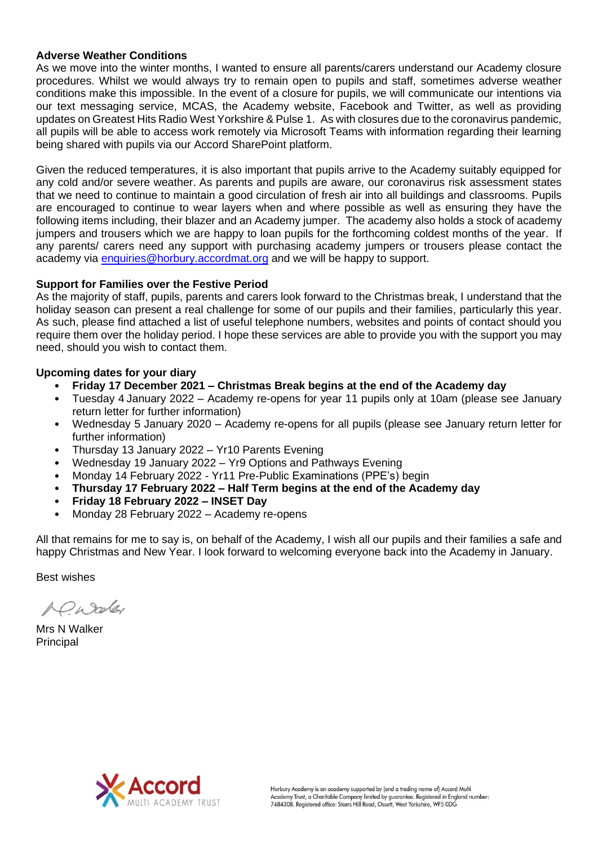## **Adverse Weather Conditions**

As we move into the winter months, I wanted to ensure all parents/carers understand our Academy closure procedures. Whilst we would always try to remain open to pupils and staff, sometimes adverse weather conditions make this impossible. In the event of a closure for pupils, we will communicate our intentions via our text messaging service, MCAS, the Academy website, Facebook and Twitter, as well as providing updates on Greatest Hits Radio West Yorkshire & Pulse 1. As with closures due to the coronavirus pandemic, all pupils will be able to access work remotely via Microsoft Teams with information regarding their learning being shared with pupils via our Accord SharePoint platform.

Given the reduced temperatures, it is also important that pupils arrive to the Academy suitably equipped for any cold and/or severe weather. As parents and pupils are aware, our coronavirus risk assessment states that we need to continue to maintain a good circulation of fresh air into all buildings and classrooms. Pupils are encouraged to continue to wear layers when and where possible as well as ensuring they have the following items including, their blazer and an Academy jumper. The academy also holds a stock of academy jumpers and trousers which we are happy to loan pupils for the forthcoming coldest months of the year. If any parents/ carers need any support with purchasing academy jumpers or trousers please contact the academy via [enquiries@horbury.accordmat.org](mailto:enquiries@horbury.accordmat.org) and we will be happy to support.

## **Support for Families over the Festive Period**

As the majority of staff, pupils, parents and carers look forward to the Christmas break, I understand that the holiday season can present a real challenge for some of our pupils and their families, particularly this year. As such, please find attached a list of useful telephone numbers, websites and points of contact should you require them over the holiday period. I hope these services are able to provide you with the support you may need, should you wish to contact them.

## **Upcoming dates for your diary**

- **Friday 17 December 2021 – Christmas Break begins at the end of the Academy day**
- Tuesday 4 January 2022 Academy re-opens for year 11 pupils only at 10am (please see January return letter for further information)
- Wednesday 5 January 2020 Academy re-opens for all pupils (please see January return letter for further information)
- Thursday 13 January 2022 Yr10 Parents Evening
- Wednesday 19 January 2022 Yr9 Options and Pathways Evening
- Monday 14 February 2022 Yr11 Pre-Public Examinations (PPE's) begin
- **Thursday 17 February 2022 – Half Term begins at the end of the Academy day**
- **Friday 18 February 2022 – INSET Day**
- Monday 28 February 2022 Academy re-opens

All that remains for me to say is, on behalf of the Academy, I wish all our pupils and their families a safe and happy Christmas and New Year. I look forward to welcoming everyone back into the Academy in January.

Best wishes

A C Wooley

Mrs N Walker Principal